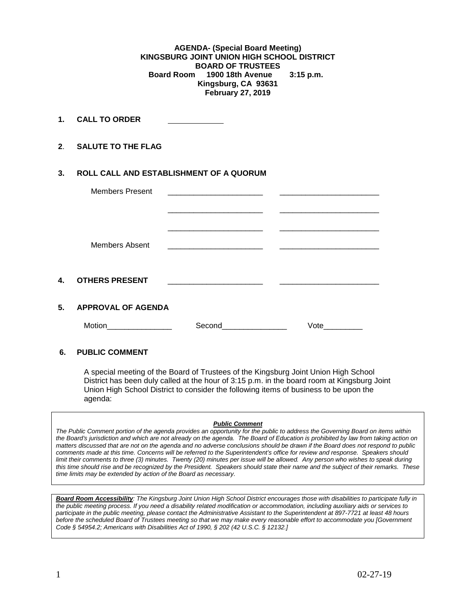**AGENDA- (Special Board Meeting) KINGSBURG JOINT UNION HIGH SCHOOL DISTRICT BOARD OF TRUSTEES**<br>Board Room 1900 18th Avenue  **Board Room 1900 18th Avenue 3:15 p.m. Kingsburg, CA 93631 February 27, 2019**

**1. CALL TO ORDER** 

**2**. **SALUTE TO THE FLAG**

## **3. ROLL CALL AND ESTABLISHMENT OF A QUORUM**

|    | <b>Members Present</b>    | the control of the control of the control of the control of the control of | <u> 1980 - Jan Barbarat, manala</u> |  |
|----|---------------------------|----------------------------------------------------------------------------|-------------------------------------|--|
|    |                           |                                                                            |                                     |  |
|    |                           |                                                                            |                                     |  |
|    |                           |                                                                            |                                     |  |
|    | <b>Members Absent</b>     |                                                                            |                                     |  |
|    |                           |                                                                            |                                     |  |
|    |                           |                                                                            |                                     |  |
| 4. | <b>OTHERS PRESENT</b>     |                                                                            |                                     |  |
|    |                           |                                                                            |                                     |  |
| 5. | <b>APPROVAL OF AGENDA</b> |                                                                            |                                     |  |
|    | Motion                    | Second                                                                     | Vote                                |  |

## **6. PUBLIC COMMENT**

A special meeting of the Board of Trustees of the Kingsburg Joint Union High School District has been duly called at the hour of 3:15 p.m. in the board room at Kingsburg Joint Union High School District to consider the following items of business to be upon the agenda:

## *Public Comment*

*The Public Comment portion of the agenda provides an opportunity for the public to address the Governing Board on items within the Board's jurisdiction and which are not already on the agenda. The Board of Education is prohibited by law from taking action on matters discussed that are not on the agenda and no adverse conclusions should be drawn if the Board does not respond to public comments made at this time. Concerns will be referred to the Superintendent's office for review and response. Speakers should limit their comments to three (3) minutes. Twenty (20) minutes per issue will be allowed. Any person who wishes to speak during this time should rise and be recognized by the President. Speakers should state their name and the subject of their remarks. These time limits may be extended by action of the Board as necessary.*

*Board Room Accessibility: The Kingsburg Joint Union High School District encourages those with disabilities to participate fully in the public meeting process. If you need a disability related modification or accommodation, including auxiliary aids or services to participate in the public meeting, please contact the Administrative Assistant to the Superintendent at 897-7721 at least 48 hours before the scheduled Board of Trustees meeting so that we may make every reasonable effort to accommodate you [Government Code § 54954.2; Americans with Disabilities Act of 1990, § 202 (42 U.S.C. § 12132.]*